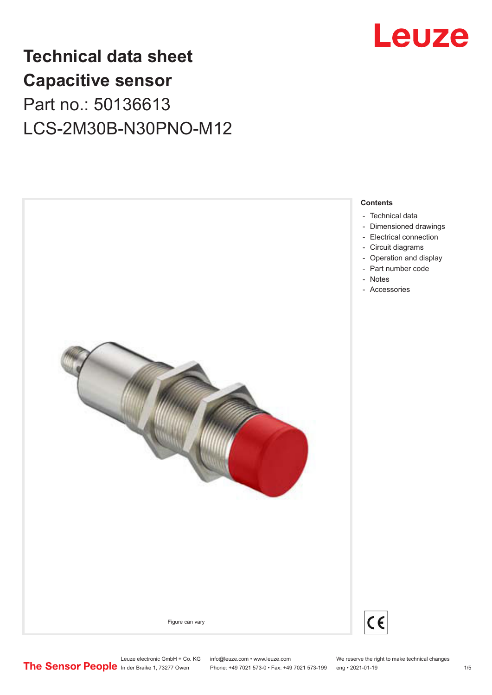

# **Technical data sheet Capacitive sensor** Part no.: 50136613 LCS-2M30B-N30PNO-M12



Leuze electronic GmbH + Co. KG info@leuze.com • www.leuze.com We reserve the right to make technical changes<br>
The Sensor People in der Braike 1, 73277 Owen Phone: +49 7021 573-0 • Fax: +49 7021 573-199 eng • 2021-01-19

Phone: +49 7021 573-0 • Fax: +49 7021 573-199 eng • 2021-01-19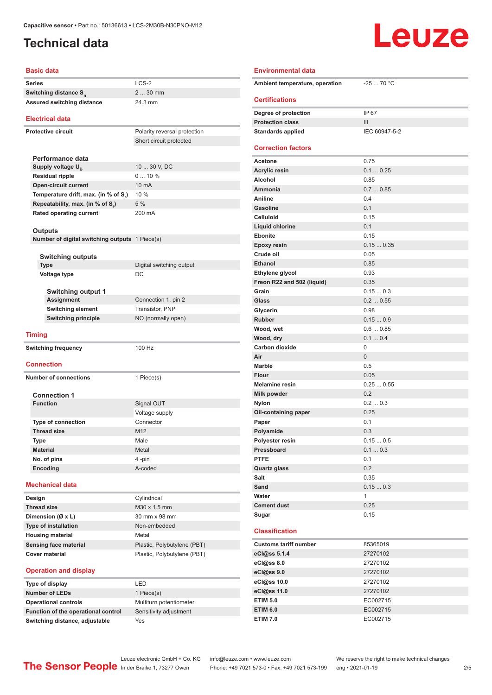## <span id="page-1-0"></span>**Technical data**

# Leuze

### **Basic data**

| <b>Basic data</b>                                     |                                                            |  |
|-------------------------------------------------------|------------------------------------------------------------|--|
| <b>Series</b>                                         | $LCS-2$                                                    |  |
| Switching distance S <sub>n</sub>                     | 2  30 mm                                                   |  |
| Assured switching distance                            | 24.3 mm                                                    |  |
| <b>Electrical data</b>                                |                                                            |  |
| <b>Protective circuit</b>                             | Polarity reversal protection                               |  |
|                                                       | Short circuit protected                                    |  |
|                                                       |                                                            |  |
| Performance data                                      |                                                            |  |
| Supply voltage U <sub>B</sub>                         | 10  30 V, DC                                               |  |
| <b>Residual ripple</b>                                | 010%                                                       |  |
| <b>Open-circuit current</b>                           | 10 mA                                                      |  |
| Temperature drift, max. (in % of S,)                  | 10 %                                                       |  |
| Repeatability, max. (in % of S.)                      | 5 %                                                        |  |
| <b>Rated operating current</b>                        | 200 mA                                                     |  |
| Outputs                                               |                                                            |  |
| Number of digital switching outputs 1 Piece(s)        |                                                            |  |
|                                                       |                                                            |  |
| <b>Switching outputs</b>                              |                                                            |  |
| <b>Type</b>                                           | Digital switching output                                   |  |
| Voltage type                                          | DC                                                         |  |
|                                                       |                                                            |  |
| <b>Switching output 1</b>                             |                                                            |  |
| <b>Assignment</b>                                     | Connection 1, pin 2                                        |  |
| <b>Switching element</b>                              | Transistor, PNP                                            |  |
| <b>Switching principle</b>                            | NO (normally open)                                         |  |
|                                                       |                                                            |  |
| <b>Timing</b>                                         |                                                            |  |
| <b>Switching frequency</b>                            | 100 Hz                                                     |  |
|                                                       |                                                            |  |
| <b>Connection</b>                                     |                                                            |  |
| <b>Number of connections</b>                          | 1 Piece(s)                                                 |  |
|                                                       |                                                            |  |
| <b>Connection 1</b>                                   |                                                            |  |
| <b>Function</b>                                       | Signal OUT                                                 |  |
|                                                       | Voltage supply                                             |  |
| <b>Type of connection</b>                             | Connector                                                  |  |
| <b>Thread size</b>                                    | M12                                                        |  |
| Type                                                  | Male                                                       |  |
| <b>Material</b>                                       | Metal                                                      |  |
| No. of pins                                           | 4-pin                                                      |  |
| <b>Encoding</b>                                       | A-coded                                                    |  |
| <b>Mechanical data</b>                                |                                                            |  |
| Design                                                | Cylindrical                                                |  |
| <b>Thread size</b>                                    | M30 x 1.5 mm                                               |  |
| Dimension (Ø x L)                                     | 30 mm x 98 mm                                              |  |
|                                                       |                                                            |  |
|                                                       | Non-embedded                                               |  |
| Type of installation                                  |                                                            |  |
| <b>Housing material</b>                               | Metal                                                      |  |
| <b>Sensing face material</b><br><b>Cover material</b> | Plastic, Polybutylene (PBT)<br>Plastic, Polybutylene (PBT) |  |

### **Operation and display**

| Type of display                     | I FD                    |
|-------------------------------------|-------------------------|
| <b>Number of LEDs</b>               | 1 Piece(s)              |
| <b>Operational controls</b>         | Multiturn potentiometer |
| Function of the operational control | Sensitivity adjustment  |
| Switching distance, adjustable      | Yes                     |

| <b>Environmental data</b>             |                      |
|---------------------------------------|----------------------|
| Ambient temperature, operation        | $-2570 °C$           |
| <b>Certifications</b>                 |                      |
| Degree of protection                  | IP 67                |
| <b>Protection class</b>               | III                  |
| <b>Standards applied</b>              | IEC 60947-5-2        |
| <b>Correction factors</b>             |                      |
| <b>Acetone</b>                        | 0.75                 |
| <b>Acrylic resin</b>                  | 0.10.25              |
| Alcohol                               | 0.85                 |
| Ammonia                               | 0.70.85              |
| <b>Aniline</b>                        | 0.4                  |
| <b>Gasoline</b>                       | 0.1                  |
| <b>Celluloid</b>                      | 0.15                 |
| <b>Liquid chlorine</b>                | 0.1                  |
| <b>Ebonite</b>                        | 0.15                 |
| Epoxy resin                           | 0.150.35             |
| Crude oil                             | 0.05                 |
| <b>Ethanol</b>                        | 0.85                 |
| Ethylene glycol                       | 0.93                 |
| Freon R22 and 502 (liquid)            | 0.35                 |
| Grain                                 | 0.150.3              |
| Glass                                 | 0.20.55              |
| Glycerin                              | 0.98                 |
| <b>Rubber</b>                         | 0.150.9              |
| Wood, wet                             | 0.60.85              |
| Wood, dry                             | 0.10.4               |
| Carbon dioxide                        | 0                    |
| Air                                   | $\overline{0}$       |
| <b>Marble</b>                         | 0.5                  |
| <b>Flour</b><br><b>Melamine resin</b> | 0.05<br>0.250.55     |
| Milk powder                           | 0.2                  |
|                                       | 0.20.3               |
| <b>Nylon</b>                          | 0.25                 |
| Oil-containing paper                  | 0.1                  |
| Paper<br>Polyamide                    | 0.3                  |
| Polyester resin                       | 0.150.5              |
| Pressboard                            | 0.10.3               |
| <b>PTFE</b>                           | 0.1                  |
| <b>Quartz glass</b>                   | 0.2                  |
| Salt                                  | 0.35                 |
| Sand                                  | 0.150.3              |
| Water                                 | 1                    |
| <b>Cement dust</b>                    | 0.25                 |
| Sugar                                 | 0.15                 |
| <b>Classification</b>                 |                      |
| <b>Customs tariff number</b>          | 85365019             |
| eCl@ss 5.1.4                          | 27270102             |
| eCl@ss 8.0                            | 27270102             |
| eCl@ss 9.0                            | 27270102             |
| eCl@ss 10.0                           | 27270102             |
|                                       |                      |
|                                       |                      |
| eCl@ss 11.0                           | 27270102             |
| <b>ETIM 5.0</b><br><b>ETIM 6.0</b>    | EC002715<br>EC002715 |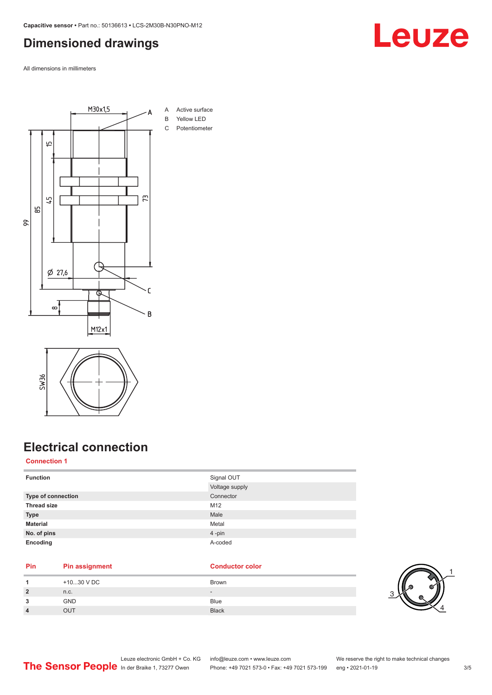### <span id="page-2-0"></span>**Dimensioned drawings**

All dimensions in millimeters





## **Electrical connection**

### **Connection 1**

| <b>Function</b>           | Signal OUT<br>Voltage supply |
|---------------------------|------------------------------|
|                           |                              |
| <b>Type of connection</b> | Connector                    |
| <b>Thread size</b>        | M12                          |
| <b>Type</b>               | Male                         |
| <b>Material</b>           | Metal                        |
| No. of pins               | 4-pin                        |
| Encoding                  | A-coded                      |

### **Pin Pin assignment Conductor Conductor Color**

|                | +1030 V DC | Brown        |     |
|----------------|------------|--------------|-----|
| $\overline{2}$ | n.c.       | $\sim$       | ₽   |
| 3              | <b>GND</b> | <b>Blue</b>  | . ت |
| 4              | OUT        | <b>Black</b> |     |



# Leuze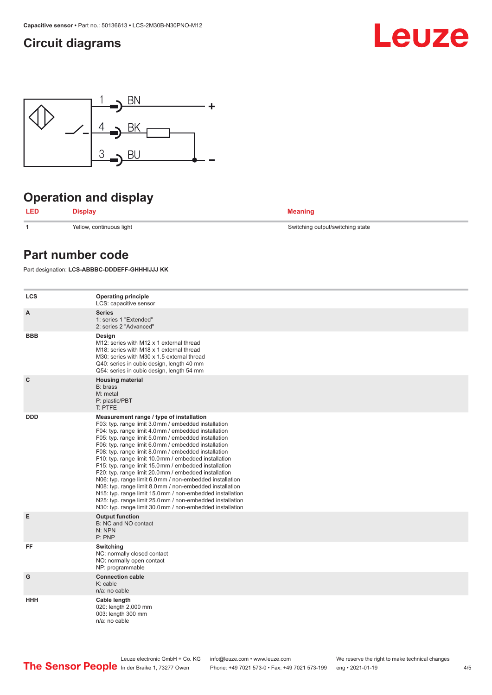### <span id="page-3-0"></span>**Circuit diagrams**





# **Operation and display**



**1** Yellow, continuous light Switching output/switching state

### **Part number code**

Part designation: **LCS-ABBBC-DDDEFF-GHHHIJJJ KK**

| <b>LCS</b> | <b>Operating principle</b><br>LCS: capacitive sensor                                                                                                                                                                                                                                                                                                                                                                                                                                                                                                                                                                                                                                                                                                                                                                       |
|------------|----------------------------------------------------------------------------------------------------------------------------------------------------------------------------------------------------------------------------------------------------------------------------------------------------------------------------------------------------------------------------------------------------------------------------------------------------------------------------------------------------------------------------------------------------------------------------------------------------------------------------------------------------------------------------------------------------------------------------------------------------------------------------------------------------------------------------|
| A          | <b>Series</b><br>1: series 1 "Extended"<br>2: series 2 "Advanced"                                                                                                                                                                                                                                                                                                                                                                                                                                                                                                                                                                                                                                                                                                                                                          |
| <b>BBB</b> | Design<br>M12: series with M12 x 1 external thread<br>M <sub>18</sub> : series with M <sub>18</sub> x 1 external thread<br>M30: series with M30 x 1.5 external thread<br>Q40: series in cubic design, length 40 mm<br>Q54: series in cubic design, length 54 mm                                                                                                                                                                                                                                                                                                                                                                                                                                                                                                                                                            |
| C          | <b>Housing material</b><br>B: brass<br>M: metal<br>P: plastic/PBT<br>T: PTFE                                                                                                                                                                                                                                                                                                                                                                                                                                                                                                                                                                                                                                                                                                                                               |
| <b>DDD</b> | Measurement range / type of installation<br>F03: typ. range limit 3.0 mm / embedded installation<br>F04: typ. range limit 4.0 mm / embedded installation<br>F05: typ. range limit 5.0 mm / embedded installation<br>F06: typ. range limit 6.0 mm / embedded installation<br>F08: typ. range limit 8.0 mm / embedded installation<br>F10: typ. range limit 10.0 mm / embedded installation<br>F15: typ. range limit 15.0 mm / embedded installation<br>F20: typ. range limit 20.0 mm / embedded installation<br>N06: typ. range limit 6.0 mm / non-embedded installation<br>N08: typ. range limit 8.0 mm / non-embedded installation<br>N15: typ. range limit 15.0 mm / non-embedded installation<br>N25: typ. range limit 25.0 mm / non-embedded installation<br>N30: typ. range limit 30.0 mm / non-embedded installation |
| E          | <b>Output function</b><br>B: NC and NO contact<br>N: NPN<br>P: PNP                                                                                                                                                                                                                                                                                                                                                                                                                                                                                                                                                                                                                                                                                                                                                         |
| FF         | Switching<br>NC: normally closed contact<br>NO: normally open contact<br>NP: programmable                                                                                                                                                                                                                                                                                                                                                                                                                                                                                                                                                                                                                                                                                                                                  |
| G          | <b>Connection cable</b><br>$K:$ cable<br>n/a: no cable                                                                                                                                                                                                                                                                                                                                                                                                                                                                                                                                                                                                                                                                                                                                                                     |
| <b>HHH</b> | Cable length<br>020: length 2,000 mm<br>003: length 300 mm<br>n/a: no cable                                                                                                                                                                                                                                                                                                                                                                                                                                                                                                                                                                                                                                                                                                                                                |